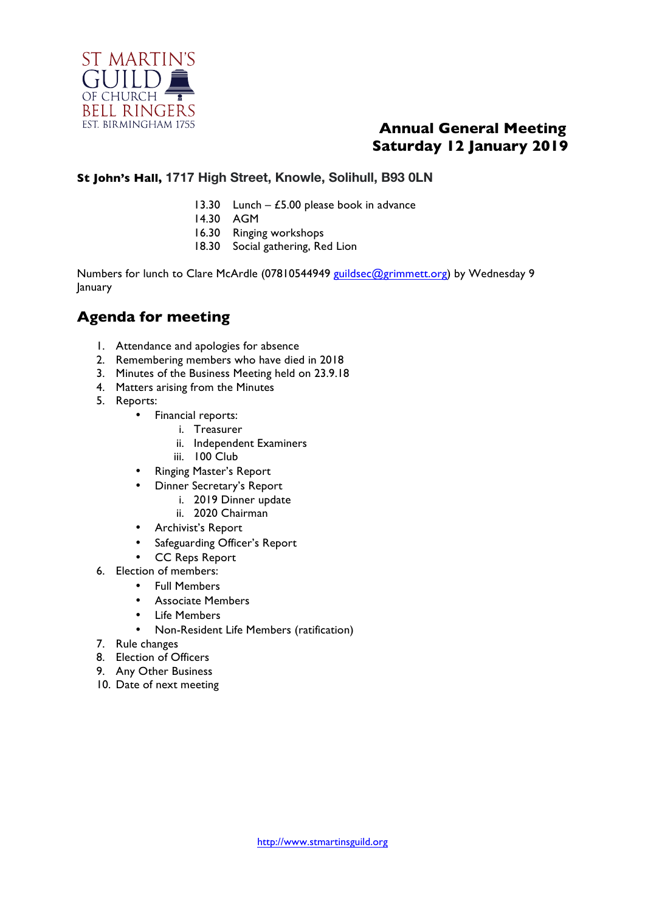

## **Annual General Meeting Saturday 12 January 2019**

#### **St John's Hall, 1717 High Street, Knowle, Solihull, B93 0LN**

- 13.30 Lunch  $£5.00$  please book in advance
- 14.30 AGM
- 16.30 Ringing workshops
- 18.30 Social gathering, Red Lion

Numbers for lunch to Clare McArdle (07810544949 guildsec@grimmett.org) by Wednesday 9 January

## **Agenda for meeting**

- 1. Attendance and apologies for absence
- 2. Remembering members who have died in 2018
- 3. Minutes of the Business Meeting held on 23.9.18
- 4. Matters arising from the Minutes
- 5. Reports:
	- Financial reports:
		- i. Treasurer
		- ii. Independent Examiners
		- iii. 100 Club
	- Ringing Master's Report
	- Dinner Secretary's Report
		- i. 2019 Dinner update
		- ii. 2020 Chairman
	- Archivist's Report
	- Safeguarding Officer's Report
	- CC Reps Report
- 6. Election of members:
	- Full Members
	- Associate Members
	- **Life Members**
	- Non-Resident Life Members (ratification)
- 7. Rule changes
- 8. Election of Officers
- 9. Any Other Business
- 10. Date of next meeting